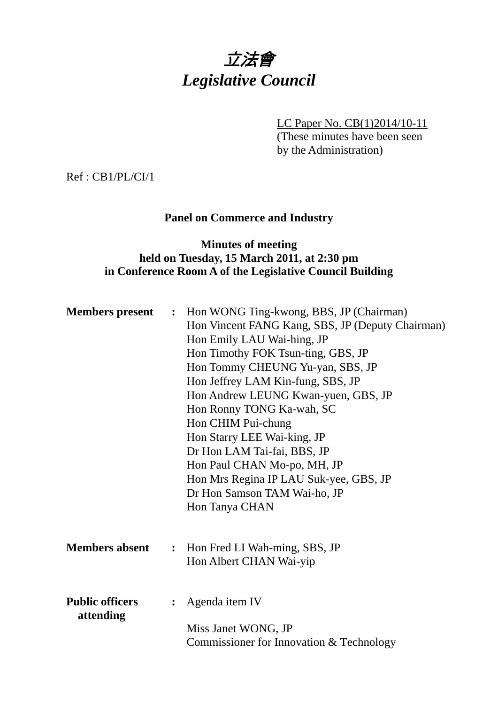

LC Paper No. CB(1)2014/10-11

(These minutes have been seen by the Administration)

Ref : CB1/PL/CI/1

# **Panel on Commerce and Industry**

## **Minutes of meeting held on Tuesday, 15 March 2011, at 2:30 pm in Conference Room A of the Legislative Council Building**

|                                     |                | <b>Members present :</b> Hon WONG Ting-kwong, BBS, JP (Chairman)<br>Hon Vincent FANG Kang, SBS, JP (Deputy Chairman)<br>Hon Emily LAU Wai-hing, JP<br>Hon Timothy FOK Tsun-ting, GBS, JP<br>Hon Tommy CHEUNG Yu-yan, SBS, JP<br>Hon Jeffrey LAM Kin-fung, SBS, JP<br>Hon Andrew LEUNG Kwan-yuen, GBS, JP<br>Hon Ronny TONG Ka-wah, SC<br>Hon CHIM Pui-chung<br>Hon Starry LEE Wai-king, JP<br>Dr Hon LAM Tai-fai, BBS, JP<br>Hon Paul CHAN Mo-po, MH, JP<br>Hon Mrs Regina IP LAU Suk-yee, GBS, JP |
|-------------------------------------|----------------|----------------------------------------------------------------------------------------------------------------------------------------------------------------------------------------------------------------------------------------------------------------------------------------------------------------------------------------------------------------------------------------------------------------------------------------------------------------------------------------------------|
|                                     |                | Dr Hon Samson TAM Wai-ho, JP<br>Hon Tanya CHAN                                                                                                                                                                                                                                                                                                                                                                                                                                                     |
| <b>Members absent</b>               | $\ddot{\cdot}$ | Hon Fred LI Wah-ming, SBS, JP<br>Hon Albert CHAN Wai-yip                                                                                                                                                                                                                                                                                                                                                                                                                                           |
| <b>Public officers</b><br>attending |                | Agenda item IV<br>Miss Janet WONG, JP<br>Commissioner for Innovation & Technology                                                                                                                                                                                                                                                                                                                                                                                                                  |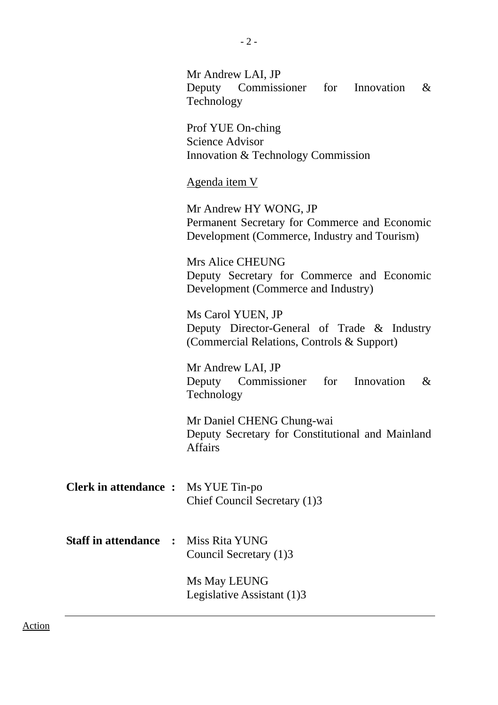|                                              | Mr Andrew LAI, JP<br>Deputy Commissioner for Innovation<br>$\&$<br>Technology                                          |  |  |  |  |  |
|----------------------------------------------|------------------------------------------------------------------------------------------------------------------------|--|--|--|--|--|
|                                              | Prof YUE On-ching<br><b>Science Advisor</b><br>Innovation & Technology Commission                                      |  |  |  |  |  |
|                                              | <u>Agenda item V</u>                                                                                                   |  |  |  |  |  |
|                                              | Mr Andrew HY WONG, JP<br>Permanent Secretary for Commerce and Economic<br>Development (Commerce, Industry and Tourism) |  |  |  |  |  |
|                                              | Mrs Alice CHEUNG<br>Deputy Secretary for Commerce and Economic<br>Development (Commerce and Industry)                  |  |  |  |  |  |
|                                              | Ms Carol YUEN, JP<br>Deputy Director-General of Trade & Industry<br>(Commercial Relations, Controls & Support)         |  |  |  |  |  |
|                                              | Mr Andrew LAI, JP<br>Deputy Commissioner for Innovation<br>$\&$<br>Technology                                          |  |  |  |  |  |
|                                              | Mr Daniel CHENG Chung-wai<br>Deputy Secretary for Constitutional and Mainland<br><b>Affairs</b>                        |  |  |  |  |  |
| <b>Clerk in attendance:</b>                  | Ms YUE Tin-po<br>Chief Council Secretary (1)3                                                                          |  |  |  |  |  |
| <b>Staff in attendance</b><br>$\ddot{\cdot}$ | Miss Rita YUNG<br>Council Secretary (1)3                                                                               |  |  |  |  |  |
|                                              | Ms May LEUNG<br>Legislative Assistant (1)3                                                                             |  |  |  |  |  |

Action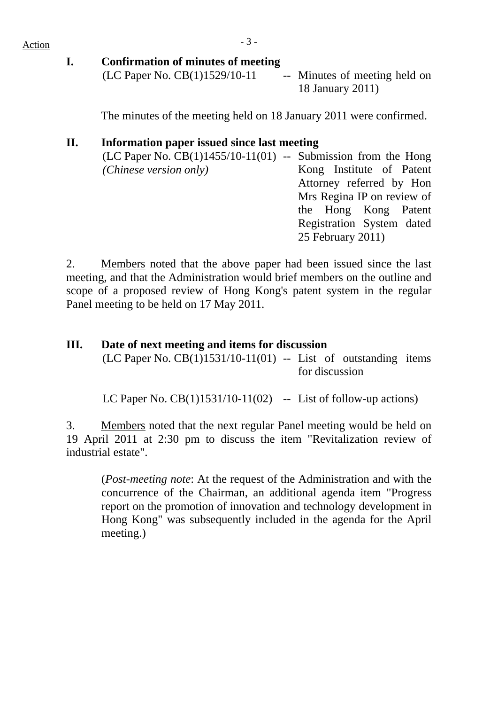$Action$ 

**I. Confirmation of minutes of meeting** 

 $(LC$  Paper No.  $CB(1)1529/10-11$  -- Minutes of meeting held on 18 January 2011)

The minutes of the meeting held on 18 January 2011 were confirmed.

## **II. Information paper issued since last meeting**

| $(LC$ Paper No. $CB(1)1455/10-11(01)$ -- Submission from the Hong |                            |                   |                           |  |
|-------------------------------------------------------------------|----------------------------|-------------------|---------------------------|--|
| (Chinese version only)                                            |                            |                   | Kong Institute of Patent  |  |
|                                                                   |                            |                   | Attorney referred by Hon  |  |
|                                                                   | Mrs Regina IP on review of |                   |                           |  |
|                                                                   |                            |                   | the Hong Kong Patent      |  |
|                                                                   |                            |                   | Registration System dated |  |
|                                                                   |                            | 25 February 2011) |                           |  |
|                                                                   |                            |                   |                           |  |

2. Members noted that the above paper had been issued since the last meeting, and that the Administration would brief members on the outline and scope of a proposed review of Hong Kong's patent system in the regular Panel meeting to be held on 17 May 2011.

# **III. Date of next meeting and items for discussion**

 $(LC$  Paper No.  $CB(1)1531/10-11(01)$  -- List of outstanding items for discussion

LC Paper No.  $CB(1)1531/10-11(02)$  -- List of follow-up actions)

3. Members noted that the next regular Panel meeting would be held on 19 April 2011 at 2:30 pm to discuss the item "Revitalization review of industrial estate".

(*Post-meeting note*: At the request of the Administration and with the concurrence of the Chairman, an additional agenda item "Progress report on the promotion of innovation and technology development in Hong Kong" was subsequently included in the agenda for the April meeting.)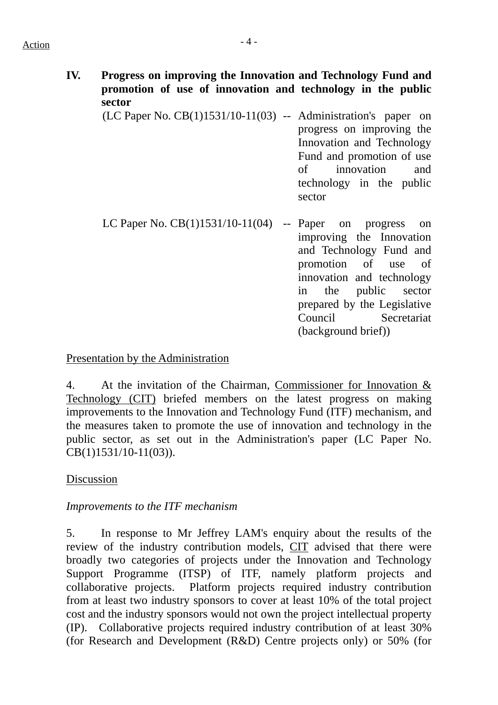## $Action$

- **IV. Progress on improving the Innovation and Technology Fund and promotion of use of innovation and technology in the public sector**  (LC Paper No. CB(1)1531/10-11(03) -- Administration's paper on progress on improving the Innovation and Technology Fund and promotion of use of innovation and
	- LC Paper No.  $CB(1)1531/10-11(04)$  -- Paper on progress on improving the Innovation and Technology Fund and promotion of use of innovation and technology in the public sector prepared by the Legislative Council Secretariat (background brief))

technology in the public

sector

#### Presentation by the Administration

4. At the invitation of the Chairman, Commissioner for Innovation & Technology (CIT) briefed members on the latest progress on making improvements to the Innovation and Technology Fund (ITF) mechanism, and the measures taken to promote the use of innovation and technology in the public sector, as set out in the Administration's paper (LC Paper No. CB(1)1531/10-11(03)).

### Discussion

#### *Improvements to the ITF mechanism*

5. In response to Mr Jeffrey LAM's enquiry about the results of the review of the industry contribution models, CIT advised that there were broadly two categories of projects under the Innovation and Technology Support Programme (ITSP) of ITF, namely platform projects and collaborative projects. Platform projects required industry contribution from at least two industry sponsors to cover at least 10% of the total project cost and the industry sponsors would not own the project intellectual property (IP). Collaborative projects required industry contribution of at least 30% (for Research and Development (R&D) Centre projects only) or 50% (for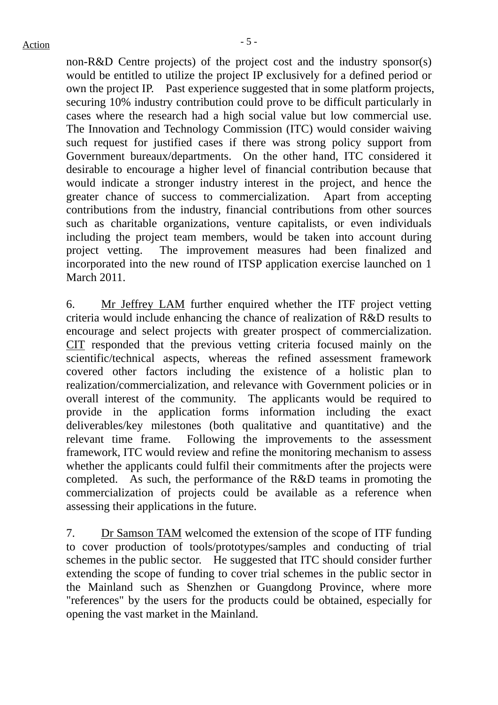non-R&D Centre projects) of the project cost and the industry sponsor(s) would be entitled to utilize the project IP exclusively for a defined period or own the project IP. Past experience suggested that in some platform projects, securing 10% industry contribution could prove to be difficult particularly in cases where the research had a high social value but low commercial use. The Innovation and Technology Commission (ITC) would consider waiving such request for justified cases if there was strong policy support from Government bureaux/departments. On the other hand, ITC considered it desirable to encourage a higher level of financial contribution because that would indicate a stronger industry interest in the project, and hence the greater chance of success to commercialization. Apart from accepting contributions from the industry, financial contributions from other sources such as charitable organizations, venture capitalists, or even individuals including the project team members, would be taken into account during project vetting. The improvement measures had been finalized and incorporated into the new round of ITSP application exercise launched on 1 March 2011.

6. Mr Jeffrey LAM further enquired whether the ITF project vetting criteria would include enhancing the chance of realization of R&D results to encourage and select projects with greater prospect of commercialization. CIT responded that the previous vetting criteria focused mainly on the scientific/technical aspects, whereas the refined assessment framework covered other factors including the existence of a holistic plan to realization/commercialization, and relevance with Government policies or in overall interest of the community. The applicants would be required to provide in the application forms information including the exact deliverables/key milestones (both qualitative and quantitative) and the relevant time frame. Following the improvements to the assessment framework, ITC would review and refine the monitoring mechanism to assess whether the applicants could fulfil their commitments after the projects were completed. As such, the performance of the R&D teams in promoting the commercialization of projects could be available as a reference when assessing their applications in the future.

7. Dr Samson TAM welcomed the extension of the scope of ITF funding to cover production of tools/prototypes/samples and conducting of trial schemes in the public sector. He suggested that ITC should consider further extending the scope of funding to cover trial schemes in the public sector in the Mainland such as Shenzhen or Guangdong Province, where more "references" by the users for the products could be obtained, especially for opening the vast market in the Mainland.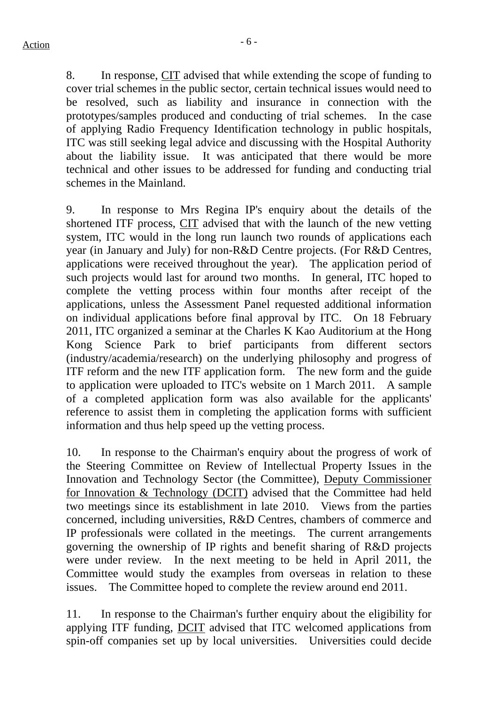8. In response, CIT advised that while extending the scope of funding to cover trial schemes in the public sector, certain technical issues would need to be resolved, such as liability and insurance in connection with the prototypes/samples produced and conducting of trial schemes. In the case of applying Radio Frequency Identification technology in public hospitals, ITC was still seeking legal advice and discussing with the Hospital Authority about the liability issue. It was anticipated that there would be more technical and other issues to be addressed for funding and conducting trial schemes in the Mainland.

9. In response to Mrs Regina IP's enquiry about the details of the shortened ITF process, CIT advised that with the launch of the new vetting system, ITC would in the long run launch two rounds of applications each year (in January and July) for non-R&D Centre projects. (For R&D Centres, applications were received throughout the year). The application period of such projects would last for around two months. In general, ITC hoped to complete the vetting process within four months after receipt of the applications, unless the Assessment Panel requested additional information on individual applications before final approval by ITC. On 18 February 2011, ITC organized a seminar at the Charles K Kao Auditorium at the Hong Kong Science Park to brief participants from different sectors (industry/academia/research) on the underlying philosophy and progress of ITF reform and the new ITF application form. The new form and the guide to application were uploaded to ITC's website on 1 March 2011. A sample of a completed application form was also available for the applicants' reference to assist them in completing the application forms with sufficient information and thus help speed up the vetting process.

10. In response to the Chairman's enquiry about the progress of work of the Steering Committee on Review of Intellectual Property Issues in the Innovation and Technology Sector (the Committee), Deputy Commissioner for Innovation & Technology (DCIT) advised that the Committee had held two meetings since its establishment in late 2010. Views from the parties concerned, including universities, R&D Centres, chambers of commerce and IP professionals were collated in the meetings. The current arrangements governing the ownership of IP rights and benefit sharing of R&D projects were under review. In the next meeting to be held in April 2011, the Committee would study the examples from overseas in relation to these issues. The Committee hoped to complete the review around end 2011.

11. In response to the Chairman's further enquiry about the eligibility for applying ITF funding, DCIT advised that ITC welcomed applications from spin-off companies set up by local universities. Universities could decide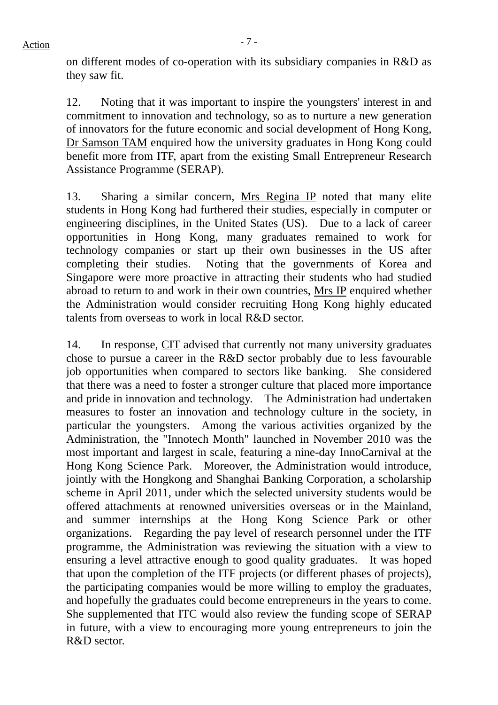on different modes of co-operation with its subsidiary companies in R&D as they saw fit.

12. Noting that it was important to inspire the youngsters' interest in and commitment to innovation and technology, so as to nurture a new generation of innovators for the future economic and social development of Hong Kong, Dr Samson TAM enquired how the university graduates in Hong Kong could benefit more from ITF, apart from the existing Small Entrepreneur Research Assistance Programme (SERAP).

13. Sharing a similar concern, Mrs Regina IP noted that many elite students in Hong Kong had furthered their studies, especially in computer or engineering disciplines, in the United States (US). Due to a lack of career opportunities in Hong Kong, many graduates remained to work for technology companies or start up their own businesses in the US after completing their studies. Noting that the governments of Korea and Singapore were more proactive in attracting their students who had studied abroad to return to and work in their own countries. Mrs IP enquired whether the Administration would consider recruiting Hong Kong highly educated talents from overseas to work in local R&D sector.

14. In response, CIT advised that currently not many university graduates chose to pursue a career in the R&D sector probably due to less favourable job opportunities when compared to sectors like banking. She considered that there was a need to foster a stronger culture that placed more importance and pride in innovation and technology. The Administration had undertaken measures to foster an innovation and technology culture in the society, in particular the youngsters. Among the various activities organized by the Administration, the "Innotech Month" launched in November 2010 was the most important and largest in scale, featuring a nine-day InnoCarnival at the Hong Kong Science Park. Moreover, the Administration would introduce, jointly with the Hongkong and Shanghai Banking Corporation, a scholarship scheme in April 2011, under which the selected university students would be offered attachments at renowned universities overseas or in the Mainland, and summer internships at the Hong Kong Science Park or other organizations. Regarding the pay level of research personnel under the ITF programme, the Administration was reviewing the situation with a view to ensuring a level attractive enough to good quality graduates. It was hoped that upon the completion of the ITF projects (or different phases of projects), the participating companies would be more willing to employ the graduates, and hopefully the graduates could become entrepreneurs in the years to come. She supplemented that ITC would also review the funding scope of SERAP in future, with a view to encouraging more young entrepreneurs to join the R&D sector.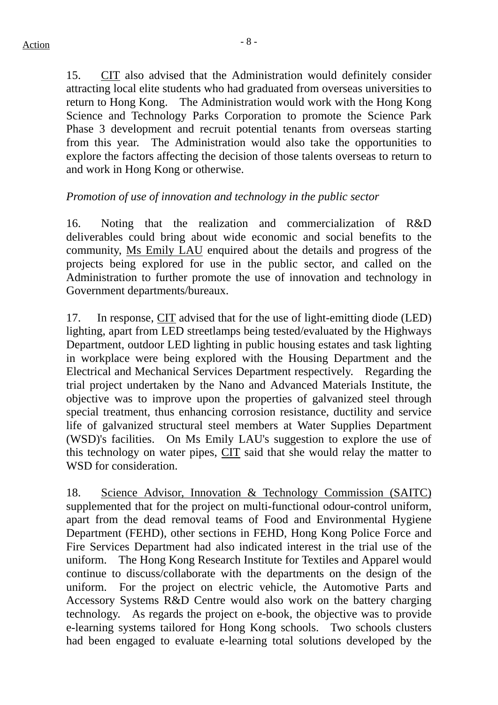15. CIT also advised that the Administration would definitely consider attracting local elite students who had graduated from overseas universities to return to Hong Kong. The Administration would work with the Hong Kong Science and Technology Parks Corporation to promote the Science Park Phase 3 development and recruit potential tenants from overseas starting from this year. The Administration would also take the opportunities to explore the factors affecting the decision of those talents overseas to return to and work in Hong Kong or otherwise.

#### *Promotion of use of innovation and technology in the public sector*

16. Noting that the realization and commercialization of R&D deliverables could bring about wide economic and social benefits to the community, Ms Emily LAU enquired about the details and progress of the projects being explored for use in the public sector, and called on the Administration to further promote the use of innovation and technology in Government departments/bureaux.

17. In response, CIT advised that for the use of light-emitting diode (LED) lighting, apart from LED streetlamps being tested/evaluated by the Highways Department, outdoor LED lighting in public housing estates and task lighting in workplace were being explored with the Housing Department and the Electrical and Mechanical Services Department respectively. Regarding the trial project undertaken by the Nano and Advanced Materials Institute, the objective was to improve upon the properties of galvanized steel through special treatment, thus enhancing corrosion resistance, ductility and service life of galvanized structural steel members at Water Supplies Department (WSD)'s facilities. On Ms Emily LAU's suggestion to explore the use of this technology on water pipes, CIT said that she would relay the matter to WSD for consideration.

18. Science Advisor, Innovation & Technology Commission (SAITC) supplemented that for the project on multi-functional odour-control uniform, apart from the dead removal teams of Food and Environmental Hygiene Department (FEHD), other sections in FEHD, Hong Kong Police Force and Fire Services Department had also indicated interest in the trial use of the uniform. The Hong Kong Research Institute for Textiles and Apparel would continue to discuss/collaborate with the departments on the design of the uniform. For the project on electric vehicle, the Automotive Parts and Accessory Systems R&D Centre would also work on the battery charging technology. As regards the project on e-book, the objective was to provide e-learning systems tailored for Hong Kong schools. Two schools clusters had been engaged to evaluate e-learning total solutions developed by the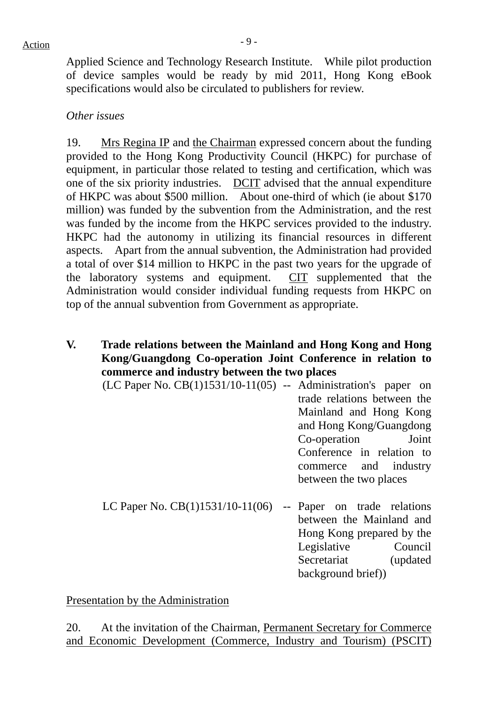Applied Science and Technology Research Institute. While pilot production of device samples would be ready by mid 2011, Hong Kong eBook specifications would also be circulated to publishers for review.

### *Other issues*

19. Mrs Regina IP and the Chairman expressed concern about the funding provided to the Hong Kong Productivity Council (HKPC) for purchase of equipment, in particular those related to testing and certification, which was one of the six priority industries. DCIT advised that the annual expenditure of HKPC was about \$500 million. About one-third of which (ie about \$170 million) was funded by the subvention from the Administration, and the rest was funded by the income from the HKPC services provided to the industry. HKPC had the autonomy in utilizing its financial resources in different aspects. Apart from the annual subvention, the Administration had provided a total of over \$14 million to HKPC in the past two years for the upgrade of the laboratory systems and equipment. CIT supplemented that the Administration would consider individual funding requests from HKPC on top of the annual subvention from Government as appropriate.

### **V. Trade relations between the Mainland and Hong Kong and Hong Kong/Guangdong Co-operation Joint Conference in relation to commerce and industry between the two places**

- $(LC$  Paper No.  $CB(1)1531/10-11(05)$  -- Administration's paper on trade relations between the Mainland and Hong Kong and Hong Kong/Guangdong Co-operation Joint Conference in relation to commerce and industry between the two places
- LC Paper No.  $CB(1)1531/10-11(06)$  -- Paper on trade relations between the Mainland and Hong Kong prepared by the Legislative Council Secretariat (updated) background brief))

Presentation by the Administration

20. At the invitation of the Chairman, Permanent Secretary for Commerce and Economic Development (Commerce, Industry and Tourism) (PSCIT)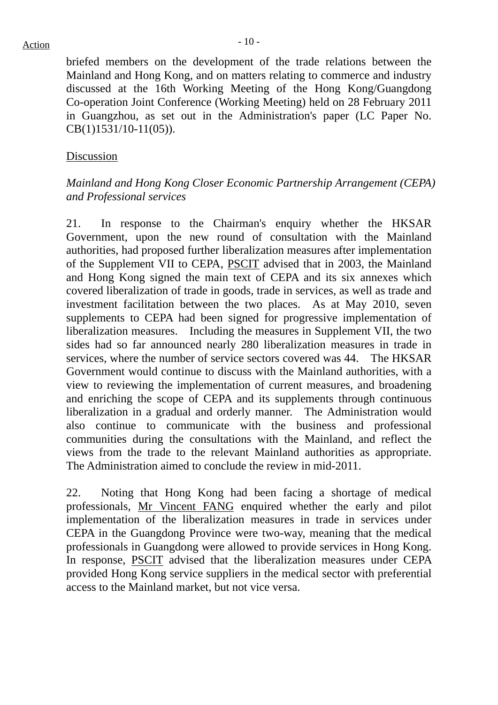briefed members on the development of the trade relations between the Mainland and Hong Kong, and on matters relating to commerce and industry discussed at the 16th Working Meeting of the Hong Kong/Guangdong Co-operation Joint Conference (Working Meeting) held on 28 February 2011 in Guangzhou, as set out in the Administration's paper (LC Paper No. CB(1)1531/10-11(05)).

#### Discussion

#### *Mainland and Hong Kong Closer Economic Partnership Arrangement (CEPA) and Professional services*

21. In response to the Chairman's enquiry whether the HKSAR Government, upon the new round of consultation with the Mainland authorities, had proposed further liberalization measures after implementation of the Supplement VII to CEPA, PSCIT advised that in 2003, the Mainland and Hong Kong signed the main text of CEPA and its six annexes which covered liberalization of trade in goods, trade in services, as well as trade and investment facilitation between the two places. As at May 2010, seven supplements to CEPA had been signed for progressive implementation of liberalization measures. Including the measures in Supplement VII, the two sides had so far announced nearly 280 liberalization measures in trade in services, where the number of service sectors covered was 44. The HKSAR Government would continue to discuss with the Mainland authorities, with a view to reviewing the implementation of current measures, and broadening and enriching the scope of CEPA and its supplements through continuous liberalization in a gradual and orderly manner. The Administration would also continue to communicate with the business and professional communities during the consultations with the Mainland, and reflect the views from the trade to the relevant Mainland authorities as appropriate. The Administration aimed to conclude the review in mid-2011.

22. Noting that Hong Kong had been facing a shortage of medical professionals, Mr Vincent FANG enquired whether the early and pilot implementation of the liberalization measures in trade in services under CEPA in the Guangdong Province were two-way, meaning that the medical professionals in Guangdong were allowed to provide services in Hong Kong. In response, PSCIT advised that the liberalization measures under CEPA provided Hong Kong service suppliers in the medical sector with preferential access to the Mainland market, but not vice versa.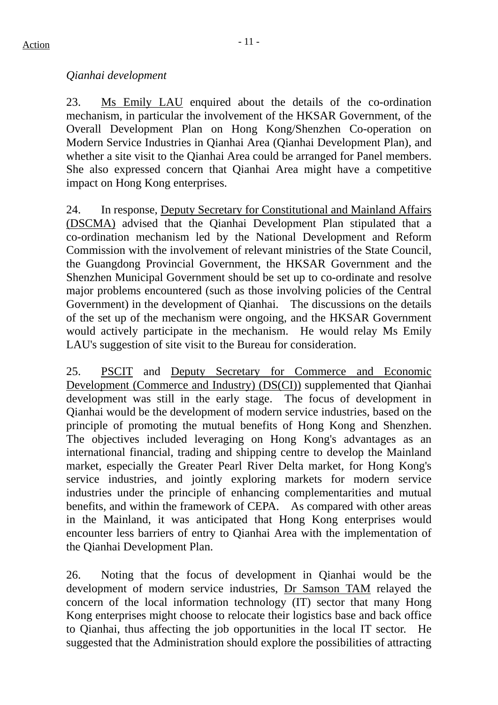## *Qianhai development*

23. Ms Emily LAU enquired about the details of the co-ordination mechanism, in particular the involvement of the HKSAR Government, of the Overall Development Plan on Hong Kong/Shenzhen Co-operation on Modern Service Industries in Qianhai Area (Qianhai Development Plan), and whether a site visit to the Qianhai Area could be arranged for Panel members. She also expressed concern that Qianhai Area might have a competitive impact on Hong Kong enterprises.

24. In response, Deputy Secretary for Constitutional and Mainland Affairs (DSCMA) advised that the Qianhai Development Plan stipulated that a co-ordination mechanism led by the National Development and Reform Commission with the involvement of relevant ministries of the State Council, the Guangdong Provincial Government, the HKSAR Government and the Shenzhen Municipal Government should be set up to co-ordinate and resolve major problems encountered (such as those involving policies of the Central Government) in the development of Qianhai. The discussions on the details of the set up of the mechanism were ongoing, and the HKSAR Government would actively participate in the mechanism. He would relay Ms Emily LAU's suggestion of site visit to the Bureau for consideration.

25. PSCIT and Deputy Secretary for Commerce and Economic Development (Commerce and Industry) (DS(CI)) supplemented that Qianhai development was still in the early stage. The focus of development in Qianhai would be the development of modern service industries, based on the principle of promoting the mutual benefits of Hong Kong and Shenzhen. The objectives included leveraging on Hong Kong's advantages as an international financial, trading and shipping centre to develop the Mainland market, especially the Greater Pearl River Delta market, for Hong Kong's service industries, and jointly exploring markets for modern service industries under the principle of enhancing complementarities and mutual benefits, and within the framework of CEPA. As compared with other areas in the Mainland, it was anticipated that Hong Kong enterprises would encounter less barriers of entry to Qianhai Area with the implementation of the Qianhai Development Plan.

26. Noting that the focus of development in Qianhai would be the development of modern service industries, Dr Samson TAM relayed the concern of the local information technology (IT) sector that many Hong Kong enterprises might choose to relocate their logistics base and back office to Qianhai, thus affecting the job opportunities in the local IT sector. He suggested that the Administration should explore the possibilities of attracting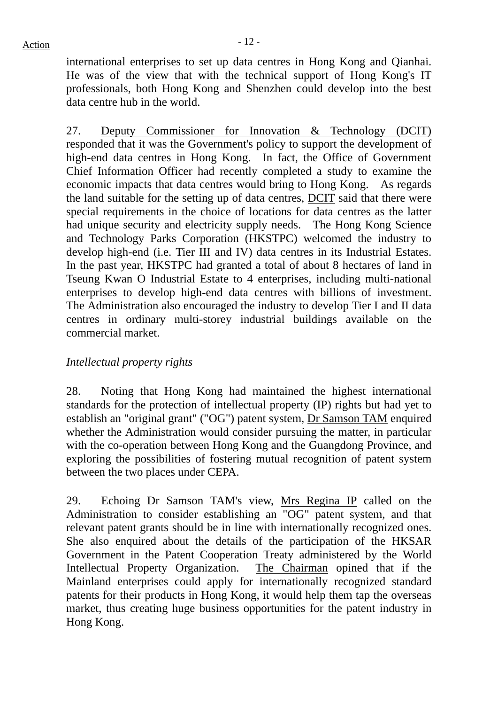international enterprises to set up data centres in Hong Kong and Qianhai. He was of the view that with the technical support of Hong Kong's IT professionals, both Hong Kong and Shenzhen could develop into the best data centre hub in the world.

27. Deputy Commissioner for Innovation & Technology (DCIT) responded that it was the Government's policy to support the development of high-end data centres in Hong Kong. In fact, the Office of Government Chief Information Officer had recently completed a study to examine the economic impacts that data centres would bring to Hong Kong. As regards the land suitable for the setting up of data centres, DCIT said that there were special requirements in the choice of locations for data centres as the latter had unique security and electricity supply needs. The Hong Kong Science and Technology Parks Corporation (HKSTPC) welcomed the industry to develop high-end (i.e. Tier III and IV) data centres in its Industrial Estates. In the past year, HKSTPC had granted a total of about 8 hectares of land in Tseung Kwan O Industrial Estate to 4 enterprises, including multi-national enterprises to develop high-end data centres with billions of investment. The Administration also encouraged the industry to develop Tier I and II data centres in ordinary multi-storey industrial buildings available on the commercial market.

### *Intellectual property rights*

28. Noting that Hong Kong had maintained the highest international standards for the protection of intellectual property (IP) rights but had yet to establish an "original grant" ("OG") patent system, Dr Samson TAM enquired whether the Administration would consider pursuing the matter, in particular with the co-operation between Hong Kong and the Guangdong Province, and exploring the possibilities of fostering mutual recognition of patent system between the two places under CEPA.

29. Echoing Dr Samson TAM's view, Mrs Regina IP called on the Administration to consider establishing an "OG" patent system, and that relevant patent grants should be in line with internationally recognized ones. She also enquired about the details of the participation of the HKSAR Government in the Patent Cooperation Treaty administered by the World Intellectual Property Organization. The Chairman opined that if the Mainland enterprises could apply for internationally recognized standard patents for their products in Hong Kong, it would help them tap the overseas market, thus creating huge business opportunities for the patent industry in Hong Kong.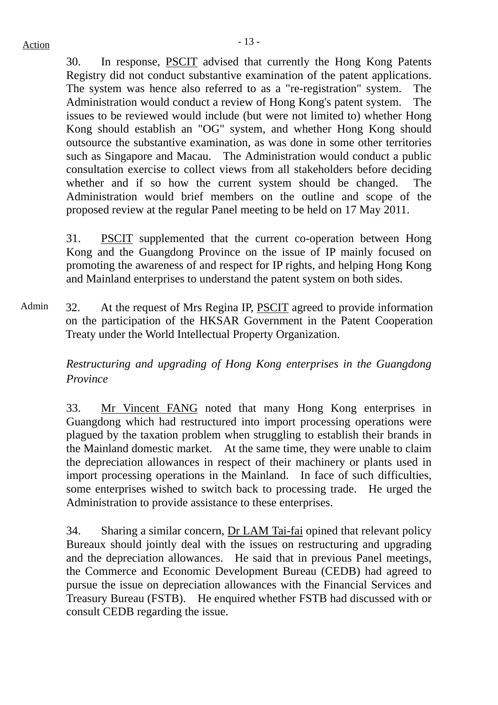30. In response, PSCIT advised that currently the Hong Kong Patents Registry did not conduct substantive examination of the patent applications. The system was hence also referred to as a "re-registration" system. The Administration would conduct a review of Hong Kong's patent system. The issues to be reviewed would include (but were not limited to) whether Hong Kong should establish an "OG" system, and whether Hong Kong should outsource the substantive examination, as was done in some other territories such as Singapore and Macau. The Administration would conduct a public consultation exercise to collect views from all stakeholders before deciding whether and if so how the current system should be changed. The Administration would brief members on the outline and scope of the proposed review at the regular Panel meeting to be held on 17 May 2011.

31. PSCIT supplemented that the current co-operation between Hong Kong and the Guangdong Province on the issue of IP mainly focused on promoting the awareness of and respect for IP rights, and helping Hong Kong and Mainland enterprises to understand the patent system on both sides.

Admin 32. At the request of Mrs Regina IP, PSCIT agreed to provide information on the participation of the HKSAR Government in the Patent Cooperation Treaty under the World Intellectual Property Organization.

> *Restructuring and upgrading of Hong Kong enterprises in the Guangdong Province*

> 33. Mr Vincent FANG noted that many Hong Kong enterprises in Guangdong which had restructured into import processing operations were plagued by the taxation problem when struggling to establish their brands in the Mainland domestic market. At the same time, they were unable to claim the depreciation allowances in respect of their machinery or plants used in import processing operations in the Mainland. In face of such difficulties, some enterprises wished to switch back to processing trade. He urged the Administration to provide assistance to these enterprises.

> 34. Sharing a similar concern, Dr LAM Tai-fai opined that relevant policy Bureaux should jointly deal with the issues on restructuring and upgrading and the depreciation allowances. He said that in previous Panel meetings, the Commerce and Economic Development Bureau (CEDB) had agreed to pursue the issue on depreciation allowances with the Financial Services and Treasury Bureau (FSTB). He enquired whether FSTB had discussed with or consult CEDB regarding the issue.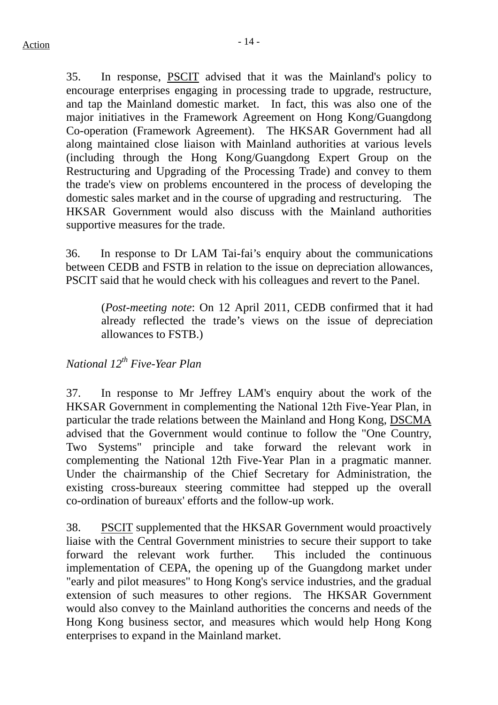35. In response, PSCIT advised that it was the Mainland's policy to encourage enterprises engaging in processing trade to upgrade, restructure, and tap the Mainland domestic market. In fact, this was also one of the major initiatives in the Framework Agreement on Hong Kong/Guangdong Co-operation (Framework Agreement). The HKSAR Government had all along maintained close liaison with Mainland authorities at various levels (including through the Hong Kong/Guangdong Expert Group on the Restructuring and Upgrading of the Processing Trade) and convey to them the trade's view on problems encountered in the process of developing the domestic sales market and in the course of upgrading and restructuring. The HKSAR Government would also discuss with the Mainland authorities supportive measures for the trade.

36. In response to Dr LAM Tai-fai's enquiry about the communications between CEDB and FSTB in relation to the issue on depreciation allowances, PSCIT said that he would check with his colleagues and revert to the Panel.

(*Post-meeting note*: On 12 April 2011, CEDB confirmed that it had already reflected the trade's views on the issue of depreciation allowances to FSTB.)

## *National 12th Five-Year Plan*

37. In response to Mr Jeffrey LAM's enquiry about the work of the HKSAR Government in complementing the National 12th Five-Year Plan, in particular the trade relations between the Mainland and Hong Kong, DSCMA advised that the Government would continue to follow the "One Country, Two Systems" principle and take forward the relevant work in complementing the National 12th Five-Year Plan in a pragmatic manner. Under the chairmanship of the Chief Secretary for Administration, the existing cross-bureaux steering committee had stepped up the overall co-ordination of bureaux' efforts and the follow-up work.

38. PSCIT supplemented that the HKSAR Government would proactively liaise with the Central Government ministries to secure their support to take forward the relevant work further. This included the continuous implementation of CEPA, the opening up of the Guangdong market under "early and pilot measures" to Hong Kong's service industries, and the gradual extension of such measures to other regions. The HKSAR Government would also convey to the Mainland authorities the concerns and needs of the Hong Kong business sector, and measures which would help Hong Kong enterprises to expand in the Mainland market.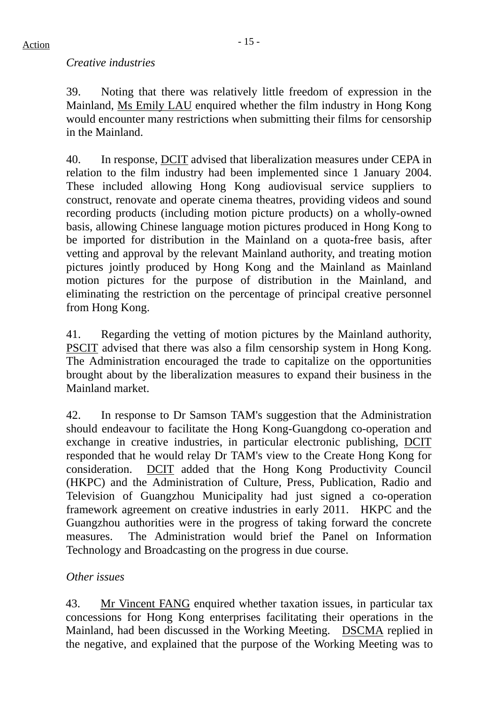#### *Creative industries*

39. Noting that there was relatively little freedom of expression in the Mainland, Ms Emily LAU enquired whether the film industry in Hong Kong would encounter many restrictions when submitting their films for censorship in the Mainland.

40. In response, DCIT advised that liberalization measures under CEPA in relation to the film industry had been implemented since 1 January 2004. These included allowing Hong Kong audiovisual service suppliers to construct, renovate and operate cinema theatres, providing videos and sound recording products (including motion picture products) on a wholly-owned basis, allowing Chinese language motion pictures produced in Hong Kong to be imported for distribution in the Mainland on a quota-free basis, after vetting and approval by the relevant Mainland authority, and treating motion pictures jointly produced by Hong Kong and the Mainland as Mainland motion pictures for the purpose of distribution in the Mainland, and eliminating the restriction on the percentage of principal creative personnel from Hong Kong.

41. Regarding the vetting of motion pictures by the Mainland authority, PSCIT advised that there was also a film censorship system in Hong Kong. The Administration encouraged the trade to capitalize on the opportunities brought about by the liberalization measures to expand their business in the Mainland market.

42. In response to Dr Samson TAM's suggestion that the Administration should endeavour to facilitate the Hong Kong-Guangdong co-operation and exchange in creative industries, in particular electronic publishing, DCIT responded that he would relay Dr TAM's view to the Create Hong Kong for consideration. DCIT added that the Hong Kong Productivity Council (HKPC) and the Administration of Culture, Press, Publication, Radio and Television of Guangzhou Municipality had just signed a co-operation framework agreement on creative industries in early 2011. HKPC and the Guangzhou authorities were in the progress of taking forward the concrete measures. The Administration would brief the Panel on Information Technology and Broadcasting on the progress in due course.

### *Other issues*

43. Mr Vincent FANG enquired whether taxation issues, in particular tax concessions for Hong Kong enterprises facilitating their operations in the Mainland, had been discussed in the Working Meeting. DSCMA replied in the negative, and explained that the purpose of the Working Meeting was to